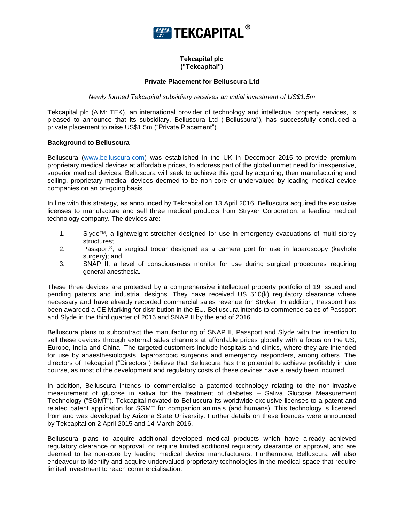

# **Tekcapital plc ("Tekcapital")**

## **Private Placement for Belluscura Ltd**

#### *Newly formed Tekcapital subsidiary receives an initial investment of US\$1.5m*

Tekcapital plc (AIM: TEK), an international provider of technology and intellectual property services, is pleased to announce that its subsidiary, Belluscura Ltd ("Belluscura"), has successfully concluded a private placement to raise US\$1.5m ("Private Placement").

#### **Background to Belluscura**

Belluscura [\(www.belluscura.com\)](http://www.belluscura.com/) was established in the UK in December 2015 to provide premium proprietary medical devices at affordable prices, to address part of the global unmet need for inexpensive, superior medical devices. Belluscura will seek to achieve this goal by acquiring, then manufacturing and selling, proprietary medical devices deemed to be non-core or undervalued by leading medical device companies on an on-going basis.

In line with this strategy, as announced by Tekcapital on 13 April 2016, Belluscura acquired the exclusive licenses to manufacture and sell three medical products from Stryker Corporation, a leading medical technology company. The devices are:

- 1. SlydeTM, a lightweight stretcher designed for use in emergency evacuations of multi-storey structures;
- 2. Passport®, a surgical trocar designed as a camera port for use in laparoscopy (keyhole surgery); and
- 3. SNAP II, a level of consciousness monitor for use during surgical procedures requiring general anesthesia.

These three devices are protected by a comprehensive intellectual property portfolio of 19 issued and pending patents and industrial designs. They have received US 510(k) regulatory clearance where necessary and have already recorded commercial sales revenue for Stryker. In addition, Passport has been awarded a CE Marking for distribution in the EU. Belluscura intends to commence sales of Passport and Slyde in the third quarter of 2016 and SNAP II by the end of 2016.

Belluscura plans to subcontract the manufacturing of SNAP II, Passport and Slyde with the intention to sell these devices through external sales channels at affordable prices globally with a focus on the US, Europe, India and China. The targeted customers include hospitals and clinics, where they are intended for use by anaesthesiologists, laparoscopic surgeons and emergency responders, among others. The directors of Tekcapital ("Directors") believe that Belluscura has the potential to achieve profitably in due course, as most of the development and regulatory costs of these devices have already been incurred.

In addition, Belluscura intends to commercialise a patented technology relating to the non-invasive measurement of glucose in saliva for the treatment of diabetes – Saliva Glucose Measurement Technology ("SGMT"). Tekcapital novated to Belluscura its worldwide exclusive licenses to a patent and related patent application for SGMT for companion animals (and humans). This technology is licensed from and was developed by Arizona State University. Further details on these licences were announced by Tekcapital on 2 April 2015 and 14 March 2016.

Belluscura plans to acquire additional developed medical products which have already achieved regulatory clearance or approval, or require limited additional regulatory clearance or approval, and are deemed to be non-core by leading medical device manufacturers. Furthermore, Belluscura will also endeavour to identify and acquire undervalued proprietary technologies in the medical space that require limited investment to reach commercialisation.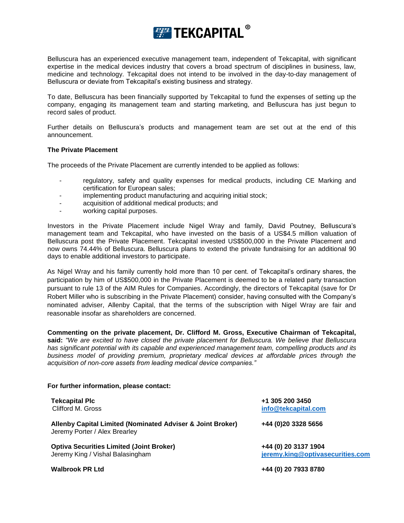

Belluscura has an experienced executive management team, independent of Tekcapital, with significant expertise in the medical devices industry that covers a broad spectrum of disciplines in business, law, medicine and technology. Tekcapital does not intend to be involved in the day-to-day management of Belluscura or deviate from Tekcapital's existing business and strategy.

To date, Belluscura has been financially supported by Tekcapital to fund the expenses of setting up the company, engaging its management team and starting marketing, and Belluscura has just begun to record sales of product.

Further details on Belluscura's products and management team are set out at the end of this announcement.

#### **The Private Placement**

The proceeds of the Private Placement are currently intended to be applied as follows:

- regulatory, safety and quality expenses for medical products, including CE Marking and certification for European sales;
- implementing product manufacturing and acquiring initial stock;
- acquisition of additional medical products; and
- working capital purposes.

Investors in the Private Placement include Nigel Wray and family, David Poutney, Belluscura's management team and Tekcapital, who have invested on the basis of a US\$4.5 million valuation of Belluscura post the Private Placement. Tekcapital invested US\$500,000 in the Private Placement and now owns 74.44% of Belluscura. Belluscura plans to extend the private fundraising for an additional 90 days to enable additional investors to participate.

As Nigel Wray and his family currently hold more than 10 per cent. of Tekcapital's ordinary shares, the participation by him of US\$500,000 in the Private Placement is deemed to be a related party transaction pursuant to rule 13 of the AIM Rules for Companies. Accordingly, the directors of Tekcapital (save for Dr Robert Miller who is subscribing in the Private Placement) consider, having consulted with the Company's nominated adviser, Allenby Capital, that the terms of the subscription with Nigel Wray are fair and reasonable insofar as shareholders are concerned.

**Commenting on the private placement, Dr. Clifford M. Gross, Executive Chairman of Tekcapital, said:** *"We are excited to have closed the private placement for Belluscura. We believe that Belluscura has significant potential with its capable and experienced management team, compelling products and its business model of providing premium, proprietary medical devices at affordable prices through the acquisition of non-core assets from leading medical device companies."* 

# **For further information, please contact: Tekcapital Plc +1 305 200 3450**

| $\cdots$<br>Clifford M. Gross                                                               | info@tekcapital.com                                      |
|---------------------------------------------------------------------------------------------|----------------------------------------------------------|
| Allenby Capital Limited (Nominated Adviser & Joint Broker)<br>Jeremy Porter / Alex Brearley | +44 (0)20 3328 5656                                      |
| <b>Optiva Securities Limited (Joint Broker)</b><br>Jeremy King / Vishal Balasingham         | +44 (0) 20 3137 1904<br>jeremy.king@optivasecurities.com |
| <b>Walbrook PR Ltd</b>                                                                      | +44 (0) 20 7933 8780                                     |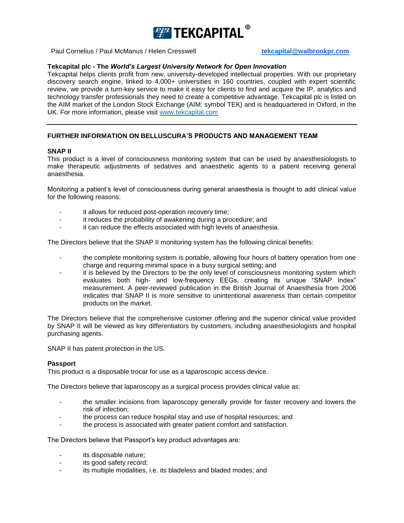

Paul Cornelius / Paul McManus / Helen Cresswell **[tekcapital@walbrookpr.com](mailto:tekcapital@walbrookpr.com)** 

# **Tekcapital plc - The** *World's Largest University Network for Open Innovation*

Tekcapital helps clients profit from new, university-developed intellectual properties. With our proprietary discovery search engine, linked to 4,000+ universities in 160 countries, coupled with expert scientific review, we provide a turn-key service to make it easy for clients to find and acquire the IP, analytics and technology transfer professionals they need to create a competitive advantage. Tekcapital plc is listed on the AIM market of the London Stock Exchange (AIM: symbol TEK) and is headquartered in Oxford, in the UK. For more information, please visit [www.tekcapital.com](http://www.tekcapital.com/)

# **FURTHER INFORMATION ON BELLUSCURA'S PRODUCTS AND MANAGEMENT TEAM**

#### **SNAP II**

This product is a level of consciousness monitoring system that can be used by anaesthesiologists to make therapeutic adjustments of sedatives and anaesthetic agents to a patient receiving general anaesthesia.

Monitoring a patient's level of consciousness during general anaesthesia is thought to add clinical value for the following reasons:

- it allows for reduced post-operation recovery time;
- it reduces the probability of awakening during a procedure; and
- it can reduce the effects associated with high levels of anaesthesia.

The Directors believe that the SNAP II monitoring system has the following clinical benefits:

- the complete monitoring system is portable, allowing four hours of battery operation from one charge and requiring minimal space in a busy surgical setting; and
- it is believed by the Directors to be the only level of consciousness monitoring system which evaluates both high- and low-frequency EEGs, creating its unique "SNAP Index" measurement. A peer-reviewed publication in the British Journal of Anaesthesia from 2006 indicates that SNAP II is more sensitive to unintentional awareness than certain competitor products on the market.

The Directors believe that the comprehensive customer offering and the superior clinical value provided by SNAP II will be viewed as key differentiators by customers, including anaesthesiologists and hospital purchasing agents.

SNAP II has patent protection in the US.

#### **Passport**

This product is a disposable trocar for use as a laparoscopic access device.

The Directors believe that laparoscopy as a surgical process provides clinical value as:

- the smaller incisions from laparoscopy generally provide for faster recovery and lowers the risk of infection;
- the process can reduce hospital stay and use of hospital resources; and
- the process is associated with greater patient comfort and satisfaction.

The Directors believe that Passport's key product advantages are:

- its disposable nature;
- its good safety record;
- its multiple modalities, i.e. its bladeless and bladed modes; and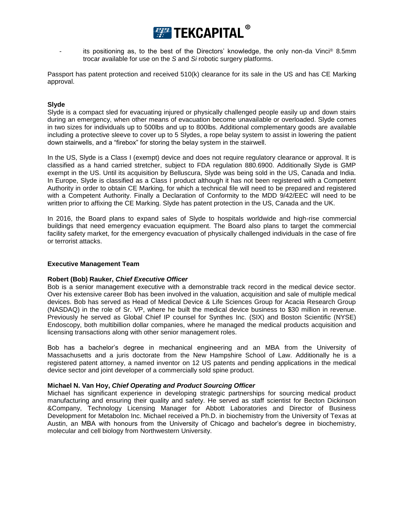

its positioning as, to the best of the Directors' knowledge, the only non-da Vinci® 8.5mm trocar available for use on the *S* and *Si* robotic surgery platforms.

Passport has patent protection and received 510(k) clearance for its sale in the US and has CE Marking approval.

## **Slyde**

Slyde is a compact sled for evacuating injured or physically challenged people easily up and down stairs during an emergency, when other means of evacuation become unavailable or overloaded. Slyde comes in two sizes for individuals up to 500lbs and up to 800lbs. Additional complementary goods are available including a protective sleeve to cover up to 5 Slydes, a rope belay system to assist in lowering the patient down stairwells, and a "firebox" for storing the belay system in the stairwell.

In the US, Slyde is a Class I (exempt) device and does not require regulatory clearance or approval. It is classified as a hand carried stretcher, subject to FDA regulation 880.6900. Additionally Slyde is GMP exempt in the US. Until its acquisition by Belluscura, Slyde was being sold in the US, Canada and India. In Europe, Slyde is classified as a Class I product although it has not been registered with a Competent Authority in order to obtain CE Marking, for which a technical file will need to be prepared and registered with a Competent Authority. Finally a Declaration of Conformity to the MDD 9/42/EEC will need to be written prior to affixing the CE Marking. Slyde has patent protection in the US, Canada and the UK.

In 2016, the Board plans to expand sales of Slyde to hospitals worldwide and high-rise commercial buildings that need emergency evacuation equipment. The Board also plans to target the commercial facility safety market, for the emergency evacuation of physically challenged individuals in the case of fire or terrorist attacks.

## **Executive Management Team**

## **Robert (Bob) Rauker,** *Chief Executive Officer*

Bob is a senior management executive with a demonstrable track record in the medical device sector. Over his extensive career Bob has been involved in the valuation, acquisition and sale of multiple medical devices. Bob has served as Head of Medical Device & Life Sciences Group for Acacia Research Group (NASDAQ) in the role of Sr. VP, where he built the medical device business to \$30 million in revenue. Previously he served as Global Chief IP counsel for Synthes Inc. (SIX) and Boston Scientific (NYSE) Endoscopy, both multibillion dollar companies, where he managed the medical products acquisition and licensing transactions along with other senior management roles.

Bob has a bachelor's degree in mechanical engineering and an MBA from the University of Massachusetts and a juris doctorate from the New Hampshire School of Law. Additionally he is a registered patent attorney, a named inventor on 12 US patents and pending applications in the medical device sector and joint developer of a commercially sold spine product.

## **Michael N. Van Hoy,** *Chief Operating and Product Sourcing Officer*

Michael has significant experience in developing strategic partnerships for sourcing medical product manufacturing and ensuring their quality and safety. He served as staff scientist for Becton Dickinson &Company, Technology Licensing Manager for Abbott Laboratories and Director of Business Development for Metabolon Inc. Michael received a Ph.D. in biochemistry from the University of Texas at Austin, an MBA with honours from the University of Chicago and bachelor's degree in biochemistry, molecular and cell biology from Northwestern University.